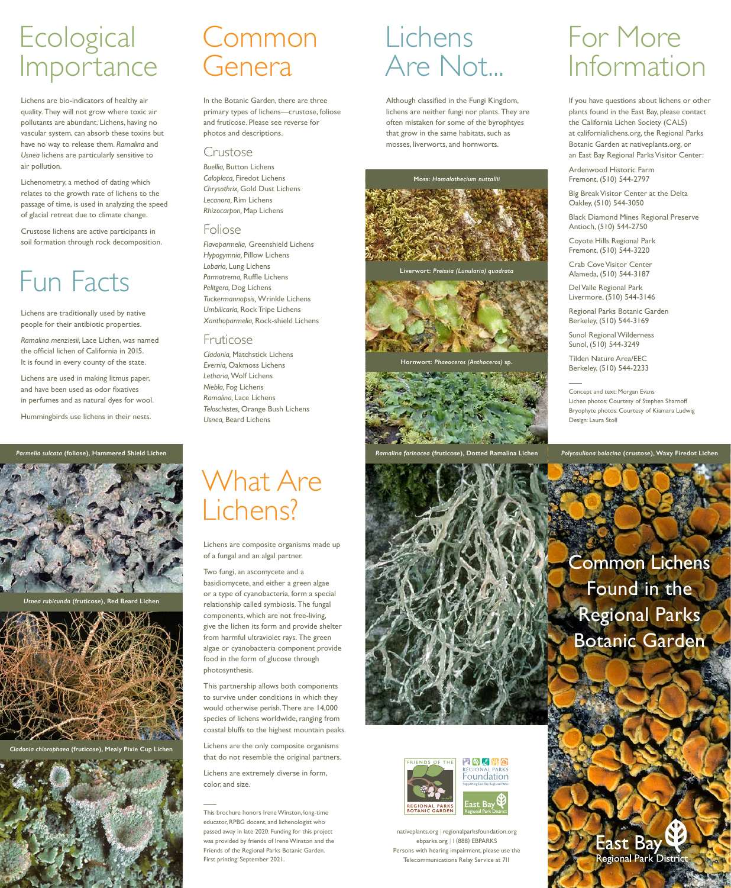

## Lichens Are Not...

Although classified in the Fungi Kingdom, lichens are neither fungi nor plants. They are often mistaken for some of the byrophtyes that grow in the same habitats, such as mosses, liverworts, and hornworts.

# **Ecological** Importance

nativeplants.org | regionalparksfoundation.org ebparks.org | 1 (888) EBPARKS Persons with hearing impairment, please use the Telecommunications Relay Service at 711

## **East Bay** Regional Park District

What Are Lichens?

# Common Genera

# For More Information

# Fun Facts

Lichens are composite organisms made up of a fungal and an algal partner.

Two fungi, an ascomycete and a basidiomycete, and either a green algae or a type of cyanobacteria, form a special relationship called symbiosis. The fungal components, which are not free-living, give the lichen its form and provide shelter from harmful ultraviolet rays. The green algae or cyanobacteria component provide

food in the form of glucose through photosynthesis.

This partnership allows both components to survive under conditions in which they would otherwise perish. There are 14,000 species of lichens worldwide, ranging from coastal bluffs to the highest mountain peaks.

Lichens are the only composite organisms that do not resemble the original partners.

Lichens are extremely diverse in form, color, and size.

This brochure honors Irene Winston, long-time educator, RPBG docent, and lichenologist who passed away in late 2020. Funding for this project was provided by friends of Irene Winston and the Friends of the Regional Parks Botanic Garden. First printing: September 2021.



**EN ANY OF Foundation** 



East Bay

In the Botanic Garden, there are three primary types of lichens—crustose, foliose and fruticose. Please see reverse for photos and descriptions.

*Ramalina farinacea* **(fruticose), Dotted Ramalina Lichen** Parmelia sulcata (foliose), Hammered Shield Lichen **Propellis and Ammerica and Ammerica** Crustose and Ammerica Crustose and Trustose and Trustose and Trustose and Trustose and Trustose), Waxy Firedot Lichen

### Crustose

*Buellia,* Button Lichens *Caloplaca,* Firedot Lichens *Chrysothrix,* Gold Dust Lichens *Lecanora,* Rim Lichens *Rhizocarpon,* Map Lichens

### Foliose

*Flavoparmelia,* Greenshield Lichens *Hypogymnia,* Pillow Lichens *Lobaria,* Lung Lichens *Parmotrema,* Ruffle Lichens *Pelitgera,* Dog Lichens *Tuckermannopsis,* Wrinkle Lichens *Umbilicaria,* Rock Tripe Lichens *Xanthoparmelia,* Rock-shield Lichens

### Fruticose

*Cladonia,* Matchstick Lichens *Evernia,* Oakmoss Lichens *Letharia,* Wolf Lichens *Niebla,* Fog Lichens *Ramalina,* Lace Lichens *Teloschistes,* Orange Bush Lichens *Usnea,* Beard Lichens

Lichens are bio-indicators of healthy air quality. They will not grow where toxic air pollutants are abundant. Lichens, having no vascular system, can absorb these toxins but have no way to release them. *Ramalina* and *Usnea* lichens are particularly sensitive to air pollution.

Lichenometry, a method of dating which relates to the growth rate of lichens to the passage of time, is used in analyzing the speed of glacial retreat due to climate change.

Crustose lichens are active participants in soil formation through rock decomposition.

Lichens are traditionally used by native people for their antibiotic properties.

*Ramalina menziesii*, Lace Lichen, was named the official lichen of California in 2015. It is found in every county of the state.

Lichens are used in making litmus paper, and have been used as odor fixatives in perfumes and as natural dyes for wool.

Hummingbirds use lichens in their nests.



*Usnea rubicunda* **(fruticose), Red Beard Lichen**



*Cladonia chlorophaea* **(fruticose), Mealy Pixie Cup Lichen**



Concept and text: Morgan Evans Lichen photos: Courtesy of Stephen Sharnoff Bryophyte photos: Courtesy of Kiamara Ludwig Design: Laura Stoll



**Hornwort:** *Phaeoceros (Anthoceros)* **sp.**



#### **Moss:** *Homalothecium nuttallii*



**Liverwort:** *Preissia (Lunularia) quadrata*

If you have questions about lichens or other plants found in the East Bay, please contact the California Lichen Society (CALS) at californialichens.org, the Regional Parks Botanic Garden at nativeplants.org, or an East Bay Regional Parks Visitor Center:

Ardenwood Historic Farm Fremont, (510) 544-2797

Big Break Visitor Center at the Delta Oakley, (510) 544-3050

Black Diamond Mines Regional Preserve Antioch, (510) 544-2750

Coyote Hills Regional Park Fremont, (510) 544-3220

Crab Cove Visitor Center Alameda, (510) 544-3187

Del Valle Regional Park Livermore, (510) 544-3146

Regional Parks Botanic Garden Berkeley, (510) 544-3169

Sunol Regional Wilderness Sunol, (510) 544-3249

Tilden Nature Area/EEC Berkeley, (510) 544-2233